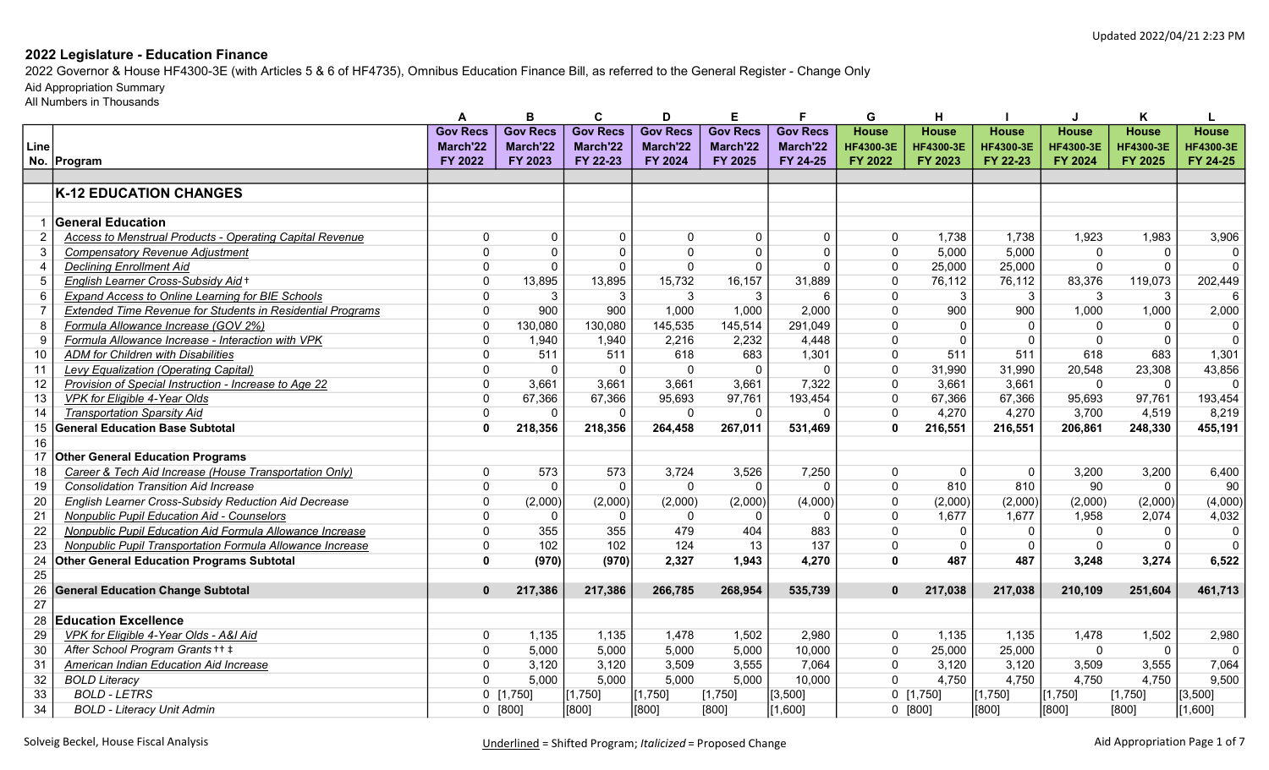2022 Governor & House HF4300-3E (with Articles 5 & 6 of HF4735), Omnibus Education Finance Bill, as referred to the General Register - Change Only

Aid Appropriation Summary

|                |                                                            | A               | B               | C               | D               | E               |                 | G                | H                |                  | J                | K                |                  |
|----------------|------------------------------------------------------------|-----------------|-----------------|-----------------|-----------------|-----------------|-----------------|------------------|------------------|------------------|------------------|------------------|------------------|
|                |                                                            | <b>Gov Recs</b> | <b>Gov Recs</b> | <b>Gov Recs</b> | <b>Gov Recs</b> | <b>Gov Recs</b> | <b>Gov Recs</b> | <b>House</b>     | <b>House</b>     | <b>House</b>     | <b>House</b>     | <b>House</b>     | <b>House</b>     |
| Line           |                                                            | March'22        | March'22        | March'22        | March'22        | March'22        | March'22        | <b>HF4300-3E</b> | <b>HF4300-3E</b> | <b>HF4300-3E</b> | <b>HF4300-3E</b> | <b>HF4300-3E</b> | <b>HF4300-3E</b> |
|                | No. Program                                                | FY 2022         | FY 2023         | FY 22-23        | FY 2024         | FY 2025         | FY 24-25        | FY 2022          | FY 2023          | FY 22-23         | <b>FY 2024</b>   | FY 2025          | FY 24-25         |
|                |                                                            |                 |                 |                 |                 |                 |                 |                  |                  |                  |                  |                  |                  |
|                | <b>K-12 EDUCATION CHANGES</b>                              |                 |                 |                 |                 |                 |                 |                  |                  |                  |                  |                  |                  |
|                |                                                            |                 |                 |                 |                 |                 |                 |                  |                  |                  |                  |                  |                  |
|                | <b>General Education</b>                                   |                 |                 |                 |                 |                 |                 |                  |                  |                  |                  |                  |                  |
|                | Access to Menstrual Products - Operating Capital Revenue   | $\mathbf{0}$    | $\mathbf 0$     | $\Omega$        | $\mathbf{0}$    | $\Omega$        | $\Omega$        | $\mathbf{0}$     | 1,738            | 1,738            | 1,923            | 1,983            | 3,906            |
| 3              | <b>Compensatory Revenue Adjustment</b>                     | $\Omega$        | $\Omega$        | $\Omega$        | $\Omega$        | $\mathbf{0}$    | $\Omega$        | $\Omega$         | 5,000            | 5,000            | $\Omega$         | $\Omega$         | $\mathbf 0$      |
| $\overline{4}$ | <b>Declining Enrollment Aid</b>                            | $\mathbf 0$     | $\Omega$        | $\Omega$        | $\Omega$        | $\mathbf{0}$    | $\Omega$        | $\mathbf{0}$     | 25,000           | 25,000           | $\Omega$         | $\Omega$         | $\overline{0}$   |
| 5              | English Learner Cross-Subsidy Aid +                        | $\Omega$        | 13,895          | 13,895          | 15,732          | 16,157          | 31,889          | $\mathbf{0}$     | 76,112           | 76,112           | 83,376           | 119,073          | 202,449          |
| 6              | <b>Expand Access to Online Learning for BIE Schools</b>    | $\mathbf 0$     | 3               | 3               | 3               | 3               | 6               | $\Omega$         | 3                | $\overline{3}$   | 3                | 3                | 6                |
|                | Extended Time Revenue for Students in Residential Programs | $\overline{0}$  | 900             | 900             | 1,000           | 1,000           | 2,000           | $\Omega$         | 900              | 900              | 1,000            | 1,000            | 2,000            |
| 8              | Formula Allowance Increase (GOV 2%)                        | $\Omega$        | 130,080         | 130,080         | 145,535         | 145,514         | 291,049         | $\Omega$         | $\Omega$         | $\Omega$         | $\Omega$         | $\Omega$         | $\Omega$         |
| g              | Formula Allowance Increase - Interaction with VPK          | $\mathbf 0$     | 1,940           | 1,940           | 2,216           | 2,232           | 4,448           | $\Omega$         | $\Omega$         | $\Omega$         | $\Omega$         | $\Omega$         | $\overline{0}$   |
| 10             | <b>ADM</b> for Children with Disabilities                  | $\Omega$        | 511             | 511             | 618             | 683             | 1,301           | $\Omega$         | 511              | 511              | 618              | 683              | 1,301            |
| 11             | Levy Equalization (Operating Capital)                      | $\Omega$        | $\Omega$        | $\mathbf{0}$    | $\mathbf{0}$    | $\mathbf{0}$    | $\Omega$        | $\mathbf{0}$     | 31,990           | 31,990           | 20,548           | 23,308           | 43,856           |
| 12             | Provision of Special Instruction - Increase to Age 22      | $\mathbf 0$     | 3,661           | 3,661           | 3,661           | 3,661           | 7,322           | $\mathbf 0$      | 3,661            | 3,661            | $\mathbf 0$      | $\mathbf 0$      | $\mathbf 0$      |
| 13             | VPK for Eligible 4-Year Olds                               | $\overline{0}$  | 67,366          | 67,366          | 95,693          | 97,761          | 193,454         | $\mathbf{0}$     | 67,366           | 67,366           | 95,693           | 97,761           | 193,454          |
| 14             | <b>Transportation Sparsity Aid</b>                         | $\Omega$        | $\Omega$        | $\Omega$        | $\Omega$        | $\Omega$        | $\Omega$        | $\Omega$         | 4,270            | 4,270            | 3,700            | 4,519            | 8,219            |
| 15             | <b>General Education Base Subtotal</b>                     | $\mathbf{0}$    | 218,356         | 218,356         | 264,458         | 267,011         | 531,469         | $\Omega$         | 216,551          | 216,551          | 206,861          | 248,330          | 455,191          |
| 16             |                                                            |                 |                 |                 |                 |                 |                 |                  |                  |                  |                  |                  |                  |
| 17             | <b>Other General Education Programs</b>                    |                 |                 |                 |                 |                 |                 |                  |                  |                  |                  |                  |                  |
| 18             | Career & Tech Aid Increase (House Transportation Only)     | $\mathbf 0$     | 573             | 573             | 3,724           | 3,526           | 7,250           | $\mathbf{0}$     | $\mathbf 0$      | $\mathbf 0$      | 3,200            | 3,200            | 6,400            |
| 19             | <b>Consolidation Transition Aid Increase</b>               | $\Omega$        |                 | $\Omega$        | $\mathbf{0}$    | $\Omega$        | $\Omega$        | $\Omega$         | 810              | 810              | 90               | $\Omega$         | 90               |
| 20             | English Learner Cross-Subsidy Reduction Aid Decrease       | $\Omega$        | (2,000)         | (2,000)         | (2,000)         | (2,000)         | (4,000)         | $\mathbf{0}$     | (2,000)          | (2,000)          | (2,000)          | (2,000)          | (4,000)          |
| 21             | Nonpublic Pupil Education Aid - Counselors                 | $\mathbf 0$     | $\mathbf 0$     | $\mathbf 0$     | $\mathbf{0}$    | $\Omega$        | $\mathbf 0$     | $\mathbf{0}$     | 1,677            | 1,677            | 1,958            | 2,074            | 4,032            |
| 22             | Nonpublic Pupil Education Aid Formula Allowance Increase   | $\mathbf{0}$    | 355             | 355             | 479             | 404             | 883             | $\Omega$         | $\mathbf{0}$     | 0                | $\Omega$         | $\Omega$         | $\mathbf 0$      |
| 23             | Nonpublic Pupil Transportation Formula Allowance Increase  | $\Omega$        | 102             | 102             | 124             | 13              | 137             | $\Omega$         | $\mathbf{0}$     | $\Omega$         | $\Omega$         | $\Omega$         | $\mathbf 0$      |
| 24             | <b>Other General Education Programs Subtotal</b>           | $\mathbf{0}$    | (970)           | (970)           | 2,327           | 1,943           | 4,270           | $\mathbf{0}$     | 487              | 487              | 3,248            | 3,274            | 6,522            |
| 25             |                                                            |                 |                 |                 |                 |                 |                 |                  |                  |                  |                  |                  |                  |
| 26             | <b>General Education Change Subtotal</b>                   | $\Omega$        | 217,386         | 217,386         | 266,785         | 268,954         | 535,739         | $\mathbf{0}$     | 217,038          | 217,038          | 210,109          | 251,604          | 461,713          |
| 27             |                                                            |                 |                 |                 |                 |                 |                 |                  |                  |                  |                  |                  |                  |
| 28             | <b>Education Excellence</b>                                |                 |                 |                 |                 |                 |                 |                  |                  |                  |                  |                  |                  |
| 29             | VPK for Eligible 4-Year Olds - A&I Aid                     | $\mathbf 0$     | 1,135           | 1,135           | 1,478           | 1,502           | 2,980           | $\Omega$         | 1,135            | 1,135            | 1,478            | 1,502            | 2,980            |
| 30             | After School Program Grants ++ +                           | $\Omega$        | 5,000           | 5,000           | 5,000           | 5,000           | 10,000          | $\mathbf{0}$     | 25,000           | 25,000           | $\mathbf{0}$     | $\Omega$         | $\Omega$         |
| 31             | <b>American Indian Education Aid Increase</b>              | $\mathbf 0$     | 3,120           | 3,120           | 3,509           | 3,555           | 7,064           | $\Omega$         | 3,120            | 3,120            | 3,509            | 3,555            | 7,064            |
| 32             | <b>BOLD Literacy</b>                                       | $\Omega$        | 5,000           | 5,000           | 5,000           | 5,000           | 10,000          | $\mathbf{0}$     | 4,750            | 4,750            | 4,750            | 4,750            | 9,500            |
| 33             | <b>BOLD - LETRS</b>                                        |                 | $0$ [1,750]     | [1,750]         | [1,750]         | [1,750]         | [3,500]         |                  | $0$ [1,750]      | [1,750]          | [1,750]          | [1,750]          | [3,500]          |
| 34             | <b>BOLD - Literacy Unit Admin</b>                          |                 | 0 [800]         | [800]           | [800]           | [800]           | [1,600]         |                  | 0 [800]          | [800]            | [800]            | [800]            | [1,600]          |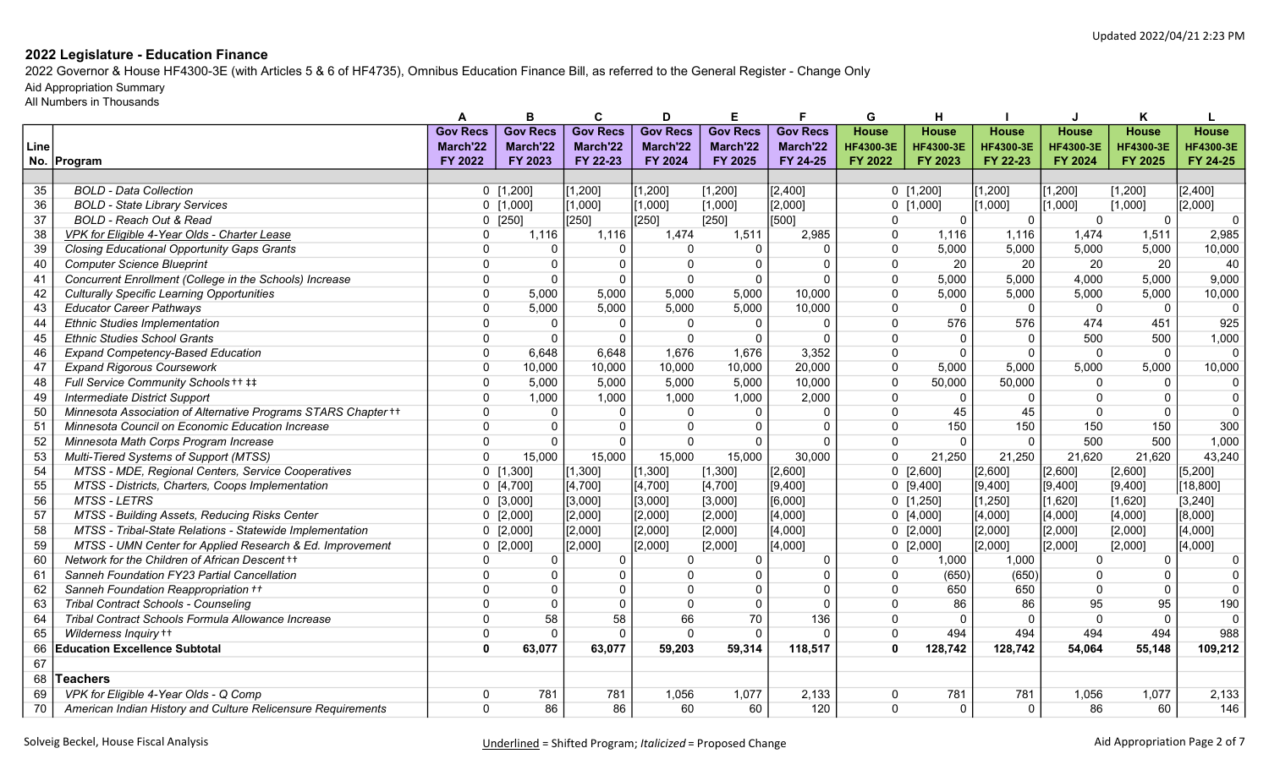2022 Governor & House HF4300-3E (with Articles 5 & 6 of HF4735), Omnibus Education Finance Bill, as referred to the General Register - Change Only

Aid Appropriation Summary

|      |                                                                |                 | в               | C               | D               |                 |                 | G                | н                |                  |                  | Κ                |                  |
|------|----------------------------------------------------------------|-----------------|-----------------|-----------------|-----------------|-----------------|-----------------|------------------|------------------|------------------|------------------|------------------|------------------|
|      |                                                                | <b>Gov Recs</b> | <b>Gov Recs</b> | <b>Gov Recs</b> | <b>Gov Recs</b> | <b>Gov Recs</b> | <b>Gov Recs</b> | <b>House</b>     | <b>House</b>     | <b>House</b>     | <b>House</b>     | <b>House</b>     | <b>House</b>     |
| Line |                                                                | March'22        | March'22        | March'22        | March'22        | March'22        | March'22        | <b>HF4300-3E</b> | <b>HF4300-3E</b> | <b>HF4300-3E</b> | <b>HF4300-3E</b> | <b>HF4300-3E</b> | <b>HF4300-3E</b> |
|      | No. Program                                                    | FY 2022         | FY 2023         | FY 22-23        | FY 2024         | FY 2025         | FY 24-25        | FY 2022          | FY 2023          | FY 22-23         | <b>FY 2024</b>   | FY 2025          | FY 24-25         |
|      |                                                                |                 |                 |                 |                 |                 |                 |                  |                  |                  |                  |                  |                  |
| 35   | <b>BOLD - Data Collection</b>                                  |                 | $0$ [1,200]     | [1,200]         | [1, 200]        | [1, 200]        | [2,400]         |                  | $0$ [1,200]      | [1,200]          | $1,200$ ]        | [1, 200]         | [2,400]          |
| 36   | <b>BOLD - State Library Services</b>                           |                 | $0$ [1,000]     | [1,000]         | [1,000]         | [1,000]         | [2,000]         |                  | $0$ [1,000]      | [1,000]          | 1,000]           | [1,000]          | [2,000]          |
| 37   | <b>BOLD</b> - Reach Out & Read                                 |                 | $0$ [250]       | $[250]$         | [250]           | $[250]$         | [500]           | $\mathbf{0}$     | $\mathbf 0$      | $\mathbf 0$      | $\Omega$         | $\Omega$         | $\mathbf 0$      |
| 38   | VPK for Eligible 4-Year Olds - Charter Lease                   | $\mathbf{0}$    | 1,116           | 1,116           | 1,474           | 1,511           | 2,985           | $\mathbf{0}$     | 1,116            | 1,116            | 1,474            | 1,511            | 2,985            |
| 39   | <b>Closing Educational Opportunity Gaps Grants</b>             | $\Omega$        | $\Omega$        | $\Omega$        | $\Omega$        | $\Omega$        | $\Omega$        | $\Omega$         | 5,000            | 5,000            | 5,000            | 5,000            | 10,000           |
| 40   | <b>Computer Science Blueprint</b>                              | $\Omega$        | $\mathbf 0$     | $\Omega$        | $\Omega$        | $\mathbf{0}$    | $\Omega$        | $\mathbf{0}$     | 20               | 20               | 20               | 20               | 40               |
| 41   | Concurrent Enrollment (College in the Schools) Increase        | $\mathbf{0}$    | $\mathbf 0$     | $\overline{0}$  | $\mathbf{0}$    | $\mathbf 0$     | $\overline{0}$  | $\mathbf{0}$     | 5,000            | 5,000            | 4,000            | 5,000            | 9,000            |
| 42   | <b>Culturally Specific Learning Opportunities</b>              | $\mathbf 0$     | 5,000           | 5,000           | 5,000           | 5,000           | 10,000          | $\Omega$         | 5,000            | 5,000            | 5,000            | 5,000            | 10,000           |
| 43   | <b>Educator Career Pathways</b>                                | $\Omega$        | 5,000           | 5,000           | 5,000           | 5,000           | 10,000          | $\Omega$         | $\mathbf 0$      | $\mathbf 0$      | $\mathbf 0$      | $\Omega$         | $\Omega$         |
| 44   | <b>Ethnic Studies Implementation</b>                           | $\Omega$        | $\Omega$        | $\mathbf 0$     | $\Omega$        | $\mathbf{0}$    | $\Omega$        | $\Omega$         | 576              | 576              | 474              | 451              | 925              |
| 45   | <b>Ethnic Studies School Grants</b>                            | $\mathbf{0}$    | $\Omega$        | $\Omega$        | $\Omega$        | $\Omega$        | $\Omega$        | $\Omega$         | $\Omega$         | $\mathbf{0}$     | 500              | 500              | 1,000            |
| 46   | <b>Expand Competency-Based Education</b>                       | $\Omega$        | 6,648           | 6,648           | 1,676           | 1,676           | 3,352           | $\mathbf{0}$     | $\mathbf{0}$     | $\mathbf 0$      | $\mathbf{0}$     | $\Omega$         | $\Omega$         |
| 47   | <b>Expand Rigorous Coursework</b>                              | $\mathbf 0$     | 10,000          | 10,000          | 10,000          | 10,000          | 20,000          | $\mathbf 0$      | 5,000            | 5,000            | 5,000            | 5,000            | 10,000           |
| 48   | Full Service Community Schools ++ ##                           | $\Omega$        | 5,000           | 5,000           | 5,000           | 5,000           | 10,000          | $\mathbf{0}$     | 50,000           | 50,000           | $\Omega$         |                  | $\Omega$         |
| 49   | Intermediate District Support                                  | $\Omega$        | 1,000           | 1,000           | 1,000           | 1,000           | 2,000           | $\Omega$         | $\Omega$         | $\Omega$         | $\Omega$         | $\Omega$         | $\overline{0}$   |
| 50   | Minnesota Association of Alternative Programs STARS Chapter ++ | $\Omega$        | $\Omega$        | $\Omega$        | $\Omega$        | 0               | $\Omega$        | $\Omega$         | 45               | 45               | $\Omega$         | $\Omega$         | $\overline{0}$   |
| 51   | Minnesota Council on Economic Education Increase               | $\mathbf{0}$    | $\mathbf{0}$    | $\Omega$        | $\Omega$        | $\mathbf{0}$    | $\Omega$        | $\Omega$         | 150              | 150              | 150              | 150              | 300              |
| 52   | Minnesota Math Corps Program Increase                          | $\Omega$        | $\Omega$        | $\overline{0}$  | $\Omega$        | $\Omega$        | $\Omega$        | $\Omega$         | $\mathbf{0}$     | $\mathbf 0$      | 500              | 500              | 1,000            |
| 53   | Multi-Tiered Systems of Support (MTSS)                         | $\Omega$        | 15,000          | 15,000          | 15,000          | 15,000          | 30,000          | $\Omega$         | 21,250           | 21,250           | 21,620           | 21,620           | 43,240           |
| 54   | MTSS - MDE, Regional Centers, Service Cooperatives             |                 | $0$ [1,300]     | [1,300]         | $1,300$ ]       | [1,300]         | [2,600]         |                  | $0$ [2,600]      | [2,600]          | [2,600]          | [2,600]          | [5, 200]         |
| 55   | MTSS - Districts, Charters, Coops Implementation               |                 | $0$ [4,700]     | [[4,700]        | [4,700]         | [4,700]         | [9,400]         |                  | $0$ [9,400]      | [9,400]          | [9,400]          | [9,400]          | [18, 800]        |
| 56   | <b>MTSS - LETRS</b>                                            |                 | $0$ [3,000]     | [3,000]         | [3,000]         | [3,000]         | [6,000]         |                  | $0$ [1,250]      | $[1,250]$        | [1,620]          | [1,620]          | [3, 240]         |
| 57   | MTSS - Building Assets, Reducing Risks Center                  |                 | $0$ [2,000]     | [2,000]         | [2,000]         | [2,000]         | [[4,000]        |                  | 0[4,000]         | $[4,000]$        | [4,000]          | [4,000]          | [8,000]          |
| 58   | MTSS - Tribal-State Relations - Statewide Implementation       |                 | $0$ [2,000]     | [2,000]         | [2,000]         | [2,000]         | [4,000]         |                  | 0 [2,000]        | [2,000]          | [2,000]          | [2,000]          | [4,000]          |
| 59   | MTSS - UMN Center for Applied Research & Ed. Improvement       |                 | $0$ [2,000]     | [2,000]         | [2,000]         | [2,000]         | [14,000]        |                  | $0$ [2,000]      | [2,000]          | [2,000]          | [2,000]          | [4,000]          |
| 60   | Network for the Children of African Descent ++                 | $\mathbf{0}$    | $\mathbf 0$     | $\mathbf 0$     | $\Omega$        | $\Omega$        | $\Omega$        | $\mathbf{0}$     | 1,000            | 1,000            | $\Omega$         | $\Omega$         | $\Omega$         |
| 61   | Sanneh Foundation FY23 Partial Cancellation                    | $\mathbf{0}$    | $\Omega$        | $\Omega$        | $\Omega$        | $\Omega$        | $\Omega$        | $\mathbf{0}$     | (650)            | (650)            | $\Omega$         | $\Omega$         | $\mathbf 0$      |
| 62   | Sanneh Foundation Reappropriation ++                           | $\Omega$        | $\mathbf{0}$    | $\Omega$        | $\Omega$        | $\mathbf{0}$    | $\Omega$        | $\Omega$         | 650              | 650              | $\Omega$         | $\Omega$         | $\Omega$         |
| 63   | Tribal Contract Schools - Counseling                           | $\mathbf 0$     | $\overline{0}$  | $\Omega$        | $\Omega$        | $\mathbf 0$     | $\Omega$        | $\Omega$         | 86               | 86               | 95               | 95               | 190              |
| 64   | Tribal Contract Schools Formula Allowance Increase             | $\mathbf{0}$    | 58              | 58              | 66              | 70              | 136             | $\Omega$         | $\mathbf{0}$     | $\mathbf{0}$     | $\mathbf{0}$     | $\Omega$         | $\Omega$         |
| 65   | Wilderness Inquiry ++                                          | $\mathbf{0}$    | $\Omega$        | $\Omega$        | $\mathbf{0}$    | $\Omega$        | $\Omega$        | 0                | 494              | 494              | 494              | 494              | 988              |
| 66   | <b>Education Excellence Subtotal</b>                           | $\mathbf{0}$    | 63,077          | 63,077          | 59,203          | 59,314          | 118,517         | $\Omega$         | 128,742          | 128,742          | 54,064           | 55,148           | 109,212          |
| 67   |                                                                |                 |                 |                 |                 |                 |                 |                  |                  |                  |                  |                  |                  |
| 68   | <b>Teachers</b>                                                |                 |                 |                 |                 |                 |                 |                  |                  |                  |                  |                  |                  |
| 69   | VPK for Eligible 4-Year Olds - Q Comp                          | $\Omega$        | 781             | 781             | 1,056           | 1,077           | 2,133           | 0                | 781              | 781              | 1,056            | 1,077            | 2,133            |
| 70   | American Indian History and Culture Relicensure Requirements   | $\Omega$        | 86              | 86              | 60              | 60              | 120             | $\mathbf{0}$     | $\mathbf 0$      | 0                | 86               | 60               | 146              |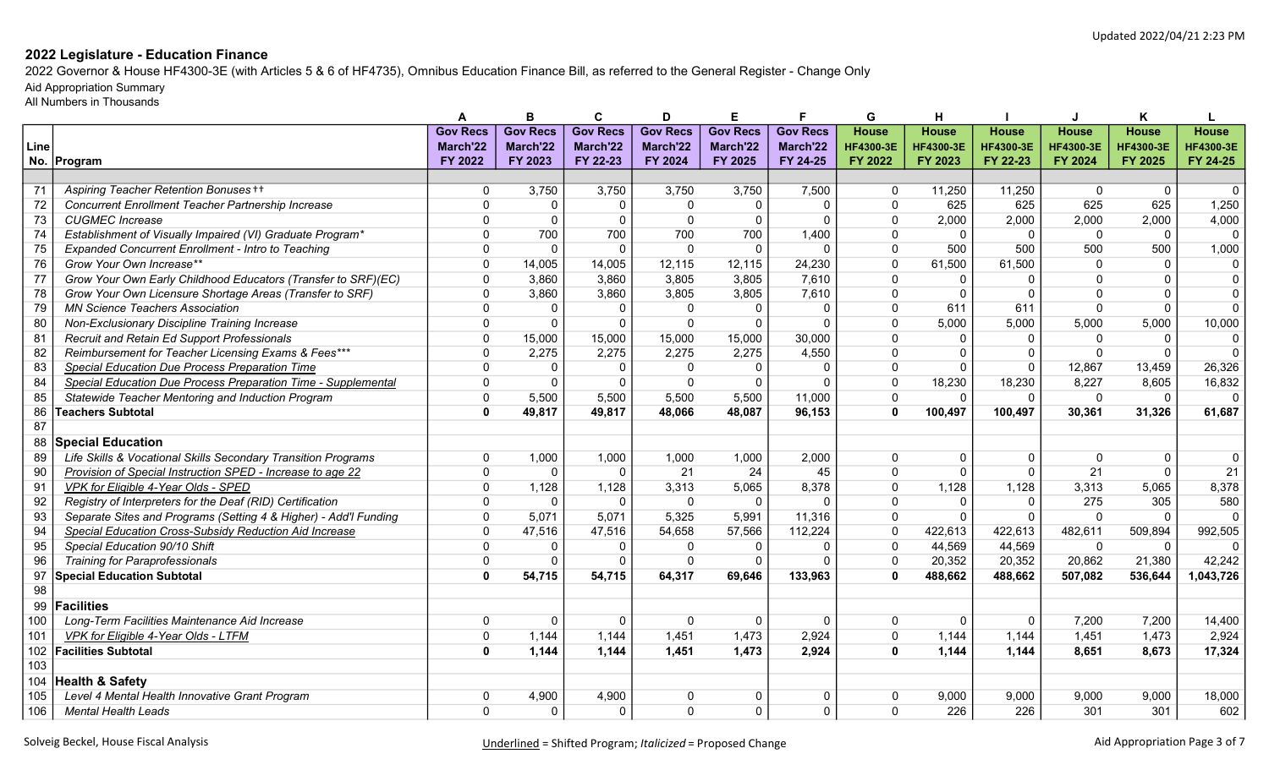2022 Governor & House HF4300-3E (with Articles 5 & 6 of HF4735), Omnibus Education Finance Bill, as referred to the General Register - Change Only

Aid Appropriation Summary

|      |                                                                  |                      | в               | C               | D               |                 |                 | G                | H                |                  |                  | Κ                |                  |
|------|------------------------------------------------------------------|----------------------|-----------------|-----------------|-----------------|-----------------|-----------------|------------------|------------------|------------------|------------------|------------------|------------------|
|      |                                                                  | <b>Gov Recs</b>      | <b>Gov Recs</b> | <b>Gov Recs</b> | <b>Gov Recs</b> | <b>Gov Recs</b> | <b>Gov Recs</b> | <b>House</b>     | <b>House</b>     | <b>House</b>     | <b>House</b>     | <b>House</b>     | <b>House</b>     |
| Line |                                                                  | March'22             | March'22        | March'22        | March'22        | March'22        | March'22        | <b>HF4300-3E</b> | <b>HF4300-3E</b> | <b>HF4300-3E</b> | <b>HF4300-3E</b> | <b>HF4300-3E</b> | <b>HF4300-3E</b> |
|      | No. Program                                                      | FY 2022              | FY 2023         | FY 22-23        | FY 2024         | FY 2025         | FY 24-25        | <b>FY 2022</b>   | FY 2023          | FY 22-23         | <b>FY 2024</b>   | FY 2025          | FY 24-25         |
|      |                                                                  |                      |                 |                 |                 |                 |                 |                  |                  |                  |                  |                  |                  |
| 71   | Aspiring Teacher Retention Bonuses ++                            | $\mathbf 0$          | 3,750           | 3,750           | 3,750           | 3,750           | 7,500           | 0                | 11,250           | 11,250           | $\mathbf 0$      | $\mathbf{0}$     | $\Omega$         |
| 72   | Concurrent Enrollment Teacher Partnership Increase               | $\Omega$             | $\mathbf{0}$    | $\Omega$        | $\mathbf{0}$    | $\mathbf 0$     | $\mathbf 0$     | $\mathbf{0}$     | 625              | 625              | 625              | 625              | 1,250            |
| 73   | <b>CUGMEC</b> Increase                                           | $\Omega$<br>$\Omega$ | $\Omega$        | $\Omega$        | $\Omega$        | $\mathbf{0}$    | $\Omega$        | $\Omega$         | 2,000            | 2,000            | 2,000            | 2,000            | 4,000            |
| 74   | Establishment of Visually Impaired (VI) Graduate Program*        |                      | 700             | 700             | 700             | 700             | 1,400           | $\Omega$         | $\Omega$         | $\overline{0}$   | $\Omega$         | $\Omega$         | $\overline{0}$   |
| 75   | Expanded Concurrent Enrollment - Intro to Teaching               | $\Omega$             | $\Omega$        | $\Omega$        | $\Omega$        | $\Omega$        | $\Omega$        | $\Omega$         | 500              | 500              | 500              | 500              | 1,000            |
| 76   | Grow Your Own Increase**                                         | $\mathbf 0$          | 14,005          | 14,005          | 12,115          | 12,115          | 24,230          | $\mathbf{0}$     | 61,500           | 61,500           | $\Omega$         | $\Omega$         | $\Omega$         |
| 77   | Grow Your Own Early Childhood Educators (Transfer to SRF)(EC)    | $\mathbf 0$          | 3,860           | 3,860           | 3,805           | 3,805           | 7,610           | $\mathbf{0}$     | 0                | $\Omega$         | $\Omega$         | $\mathbf{0}$     | $\overline{0}$   |
| 78   | Grow Your Own Licensure Shortage Areas (Transfer to SRF)         | $\Omega$             | 3,860           | 3,860           | 3,805           | 3,805           | 7,610           | $\Omega$         | $\Omega$         | $\Omega$         | $\Omega$         | $\Omega$         | $\overline{0}$   |
| 79   | <b>MN Science Teachers Association</b>                           | $\Omega$             | $\Omega$        | $\Omega$        | $\Omega$        | $\mathbf{0}$    | $\Omega$        | $\Omega$         | 611              | 611              | $\Omega$         | $\Omega$         | $\overline{0}$   |
| 80   | Non-Exclusionary Discipline Training Increase                    | $\Omega$             | $\Omega$        | $\Omega$        | $\Omega$        | $\mathbf{0}$    | $\Omega$        | $\Omega$         | 5,000            | 5,000            | 5,000            | 5,000            | 10,000           |
| 81   | Recruit and Retain Ed Support Professionals                      | $\Omega$             | 15,000          | 15,000          | 15,000          | 15,000          | 30,000          | $\mathbf{0}$     | $\mathbf 0$      | $\Omega$         | $\Omega$         | $\mathbf{0}$     | $\Omega$         |
| 82   | Reimbursement for Teacher Licensing Exams & Fees***              | $\overline{0}$       | 2,275           | 2,275           | 2,275           | 2,275           | 4,550           | $\mathbf{0}$     | $\Omega$         | $\overline{0}$   | $\Omega$         | $\mathbf{0}$     | $\overline{0}$   |
| 83   | Special Education Due Process Preparation Time                   | $\Omega$             | $\Omega$        | $\Omega$        | $\mathbf{0}$    | $\Omega$        | $\Omega$        | $\Omega$         | $\Omega$         | $\overline{0}$   | 12,867           | 13,459           | 26,326           |
| 84   | Special Education Due Process Preparation Time - Supplemental    | $\mathbf 0$          | $\mathbf{0}$    | $\mathbf 0$     | $\mathbf{0}$    | $\mathbf{0}$    | $\Omega$        | $\Omega$         | 18,230           | 18,230           | 8,227            | 8,605            | 16,832           |
| 85   | Statewide Teacher Mentoring and Induction Program                | $\Omega$             | 5,500           | 5,500           | 5,500           | 5,500           | 11,000          | $\Omega$         | $\Omega$         | $\Omega$         | $\Omega$         | $\Omega$         | $\Omega$         |
| 86   | <b>Teachers Subtotal</b>                                         | $\mathbf{0}$         | 49,817          | 49,817          | 48,066          | 48,087          | 96,153          | $\mathbf{0}$     | 100,497          | 100,497          | 30,361           | 31,326           | 61,687           |
| 87   |                                                                  |                      |                 |                 |                 |                 |                 |                  |                  |                  |                  |                  |                  |
| 88   | <b>Special Education</b>                                         |                      |                 |                 |                 |                 |                 |                  |                  |                  |                  |                  |                  |
| 89   | Life Skills & Vocational Skills Secondary Transition Programs    | 0                    | 1,000           | 1,000           | 1,000           | 1,000           | 2,000           | $\mathbf{0}$     | 0                | $\Omega$         | $\mathbf{0}$     | $\Omega$         | $\Omega$         |
| 90   | Provision of Special Instruction SPED - Increase to age 22       | $\Omega$             | $\Omega$        | $\Omega$        | 21              | 24              | 45              | $\Omega$         | $\mathbf{0}$     | $\Omega$         | 21               | $\Omega$         | 21               |
| 91   | VPK for Eligible 4-Year Olds - SPED                              | $\Omega$             | 1,128           | 1,128           | 3,313           | 5,065           | 8,378           | $\Omega$         | 1,128            | 1,128            | 3,313            | 5,065            | 8,378            |
| 92   | Registry of Interpreters for the Deaf (RID) Certification        | $\Omega$             | $\Omega$        | $\Omega$        | $\Omega$        | $\Omega$        | $\Omega$        | $\Omega$         | $\Omega$         | $\mathbf{0}$     | 275              | 305              | 580              |
| 93   | Separate Sites and Programs (Setting 4 & Higher) - Add'l Funding | $\mathbf 0$          | 5,071           | 5,071           | 5,325           | 5,991           | 11,316          | $\mathbf{0}$     | $\mathbf{0}$     | $\overline{0}$   | $\mathbf{0}$     | $\Omega$         | $\Omega$         |
| 94   | Special Education Cross-Subsidy Reduction Aid Increase           | $\Omega$             | 47,516          | 47,516          | 54,658          | 57,566          | 112,224         | $\mathbf 0$      | 422,613          | 422,613          | 482,611          | 509,894          | 992,505          |
| 95   | Special Education 90/10 Shift                                    | $\Omega$             | $\Omega$        | $\Omega$        | $\mathbf{0}$    | $\mathbf 0$     | $\Omega$        | $\Omega$         | 44,569           | 44,569           | $\mathbf{0}$     | $\Omega$         | $\Omega$         |
| 96   | <b>Training for Paraprofessionals</b>                            | $\mathbf 0$          | $\Omega$        | $\Omega$        | $\Omega$        | $\mathbf{0}$    | $\Omega$        | $\Omega$         | 20,352           | 20,352           | 20,862           | 21,380           | 42,242           |
| 97   | <b>Special Education Subtotal</b>                                | $\mathbf{0}$         | 54,715          | 54,715          | 64,317          | 69,646          | 133,963         | $\mathbf{0}$     | 488,662          | 488,662          | 507,082          | 536,644          | 1,043,726        |
| 98   |                                                                  |                      |                 |                 |                 |                 |                 |                  |                  |                  |                  |                  |                  |
| 99   | Facilities                                                       |                      |                 |                 |                 |                 |                 |                  |                  |                  |                  |                  |                  |
| 100  | Long-Term Facilities Maintenance Aid Increase                    | $\mathbf 0$          | $\Omega$        | $\Omega$        | $\mathbf{0}$    | $\Omega$        | $\Omega$        | $\mathbf{0}$     | $\Omega$         | $\mathbf 0$      | 7,200            | 7,200            | 14,400           |
| 101  | VPK for Eligible 4-Year Olds - LTFM                              | $\mathbf 0$          | 1,144           | 1,144           | 1,451           | 1,473           | 2,924           | $\mathbf{0}$     | 1,144            | 1,144            | 1,451            | 1,473            | 2,924            |
| 102  | <b>Facilities Subtotal</b>                                       | $\mathbf{0}$         | 1,144           | 1,144           | 1,451           | 1,473           | 2,924           | $\Omega$         | 1,144            | 1,144            | 8,651            | 8.673            | 17,324           |
| 103  |                                                                  |                      |                 |                 |                 |                 |                 |                  |                  |                  |                  |                  |                  |
| 104  | Health & Safety                                                  |                      |                 |                 |                 |                 |                 |                  |                  |                  |                  |                  |                  |
| 105  | Level 4 Mental Health Innovative Grant Program                   | $\Omega$             | 4,900           | 4,900           | $\Omega$        | 0               | $\Omega$        | 0                | 9,000            | 9,000            | 9,000            | 9,000            | 18,000           |
| 106  | <b>Mental Health Leads</b>                                       | $\mathbf 0$          | $\overline{0}$  | $\mathbf{0}$    | $\mathbf{0}$    | $\mathbf 0$     | $\mathbf 0$     | $\mathbf{0}$     | 226              | 226              | 301              | 301              | 602              |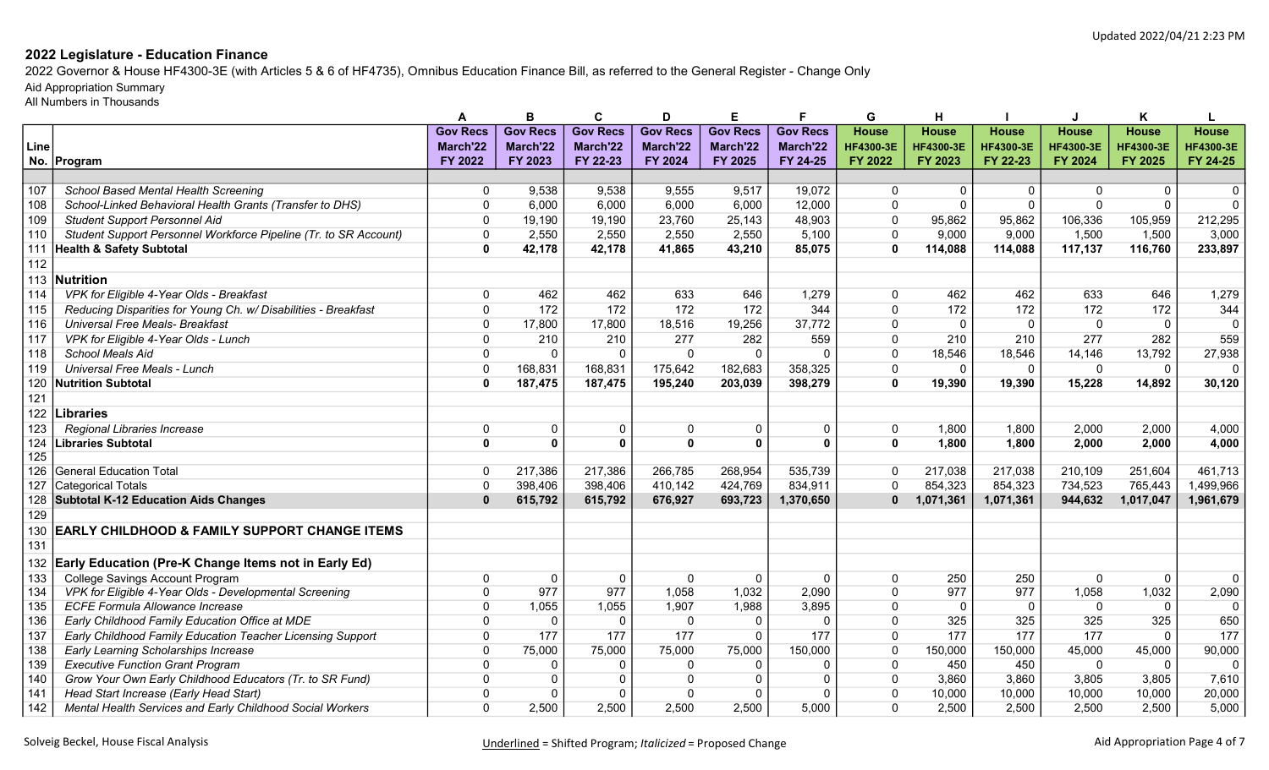2022 Governor & House HF4300-3E (with Articles 5 & 6 of HF4735), Omnibus Education Finance Bill, as referred to the General Register - Change Only

Aid Appropriation Summary

|             |                                                                  |                 | B               | C               | D               | E               |                 | G                | н                |                  | J              | Κ                |                  |
|-------------|------------------------------------------------------------------|-----------------|-----------------|-----------------|-----------------|-----------------|-----------------|------------------|------------------|------------------|----------------|------------------|------------------|
|             |                                                                  | <b>Gov Recs</b> | <b>Gov Recs</b> | <b>Gov Recs</b> | <b>Gov Recs</b> | <b>Gov Recs</b> | <b>Gov Recs</b> | <b>House</b>     | <b>House</b>     | <b>House</b>     | <b>House</b>   | <b>House</b>     | <b>House</b>     |
| <b>Line</b> |                                                                  | March'22        | March'22        | March'22        | March'22        | March'22        | March'22        | <b>HF4300-3E</b> | <b>HF4300-3E</b> | <b>HF4300-3E</b> | HF4300-3E      | <b>HF4300-3E</b> | <b>HF4300-3E</b> |
|             | No. Program                                                      | FY 2022         | FY 2023         | FY 22-23        | FY 2024         | FY 2025         | FY 24-25        | FY 2022          | FY 2023          | FY 22-23         | <b>FY 2024</b> | FY 2025          | FY 24-25         |
|             |                                                                  |                 |                 |                 |                 |                 |                 |                  |                  |                  |                |                  |                  |
| 107         | School Based Mental Health Screening                             | 0               | 9,538           | 9,538           | 9,555           | 9,517           | 19,072          | $\mathbf 0$      | 0                | 0                | $\mathbf 0$    | 0                | $\Omega$         |
| 108         | School-Linked Behavioral Health Grants (Transfer to DHS)         | 0               | 6,000           | 6,000           | 6,000           | 6,000           | 12,000          | $\mathbf 0$      | $\Omega$         | $\mathbf 0$      | $\mathbf{0}$   | $\Omega$         | $\Omega$         |
| 109         | <b>Student Support Personnel Aid</b>                             | $\Omega$        | 19,190          | 19,190          | 23,760          | 25,143          | 48,903          | $\mathbf{0}$     | 95,862           | 95,862           | 106,336        | 105,959          | 212,295          |
| 110         | Student Support Personnel Workforce Pipeline (Tr. to SR Account) | $\Omega$        | 2,550           | 2,550           | 2,550           | 2,550           | 5,100           | $\mathbf{0}$     | 9,000            | 9,000            | 1,500          | 1,500            | 3,000            |
| 111         | <b>Health &amp; Safety Subtotal</b>                              | $\mathbf{0}$    | 42,178          | 42,178          | 41,865          | 43,210          | 85,075          | $\mathbf{0}$     | 114,088          | 114,088          | 117,137        | 116,760          | 233,897          |
| 112         |                                                                  |                 |                 |                 |                 |                 |                 |                  |                  |                  |                |                  |                  |
|             | 113 Nutrition                                                    |                 |                 |                 |                 |                 |                 |                  |                  |                  |                |                  |                  |
| 114         | VPK for Eligible 4-Year Olds - Breakfast                         | $\Omega$        | 462             | 462             | 633             | 646             | 1,279           | $\mathbf 0$      | 462              | 462              | 633            | 646              | 1,279            |
| 115         | Reducing Disparities for Young Ch. w/ Disabilities - Breakfast   | $\Omega$        | 172             | 172             | 172             | 172             | 344             | $\Omega$         | 172              | 172              | 172            | 172              | 344              |
| 116         | <b>Universal Free Meals- Breakfast</b>                           | $\Omega$        | 17,800          | 17,800          | 18,516          | 19,256          | 37,772          | $\Omega$         | $\Omega$         | $\mathbf{0}$     | $\mathbf{0}$   | $\Omega$         | $\mathbf 0$      |
| 117         | VPK for Eligible 4-Year Olds - Lunch                             | $\mathbf{0}$    | 210             | 210             | 277             | 282             | 559             | $\mathbf{0}$     | 210              | 210              | 277            | 282              | 559              |
| 118         | <b>School Meals Aid</b>                                          | $\mathbf{0}$    | $\mathbf{0}$    | $\Omega$        | $\Omega$        | $\Omega$        | $\Omega$        | $\mathbf{0}$     | 18,546           | 18,546           | 14,146         | 13,792           | 27,938           |
| 119         | Universal Free Meals - Lunch                                     | $\pmb{0}$       | 168,831         | 168,831         | 175,642         | 182,683         | 358,325         | $\mathbf 0$      | $\mathbf 0$      | $\mathbf 0$      | $\mathbf 0$    | $\mathbf 0$      | $\Omega$         |
| 120         | <b>Nutrition Subtotal</b>                                        | $\Omega$        | 187,475         | 187,475         | 195,240         | 203,039         | 398,279         | $\mathbf{0}$     | 19,390           | 19,390           | 15,228         | 14,892           | 30,120           |
| 121         |                                                                  |                 |                 |                 |                 |                 |                 |                  |                  |                  |                |                  |                  |
| 122         | <b>Libraries</b>                                                 |                 |                 |                 |                 |                 |                 |                  |                  |                  |                |                  |                  |
| 123         | Regional Libraries Increase                                      | $\Omega$        | $\Omega$        | $\Omega$        | $\Omega$        | 0               | $\Omega$        | $\mathbf{0}$     | 1,800            | 1,800            | 2,000          | 2,000            | 4,000            |
| 124         | Libraries Subtotal                                               | $\mathbf{0}$    | $\mathbf 0$     | $\Omega$        | $\mathbf{0}$    | $\Omega$        | $\Omega$        | $\mathbf{0}$     | 1,800            | 1,800            | 2,000          | 2,000            | 4,000            |
| 125         |                                                                  |                 |                 |                 |                 |                 |                 |                  |                  |                  |                |                  |                  |
| 126         | <b>General Education Total</b>                                   | $\mathbf{0}$    | 217,386         | 217,386         | 266,785         | 268,954         | 535,739         | $\mathbf{0}$     | 217,038          | 217,038          | 210,109        | 251,604          | 461,713          |
| 127         | Categorical Totals                                               | $\Omega$        | 398,406         | 398,406         | 410.142         | 424,769         | 834,911         | $\mathbf{0}$     | 854,323          | 854,323          | 734,523        | 765,443          | 1,499,966        |
| 128         | <b>Subtotal K-12 Education Aids Changes</b>                      | $\bf{0}$        | 615,792         | 615,792         | 676,927         | 693,723         | 1,370,650       | $\mathbf{0}$     | 1,071,361        | 1,071,361        | 944,632        | 1,017,047        | 1,961,679        |
| 129         |                                                                  |                 |                 |                 |                 |                 |                 |                  |                  |                  |                |                  |                  |
| 130         | <b>EARLY CHILDHOOD &amp; FAMILY SUPPORT CHANGE ITEMS</b>         |                 |                 |                 |                 |                 |                 |                  |                  |                  |                |                  |                  |
| 131         |                                                                  |                 |                 |                 |                 |                 |                 |                  |                  |                  |                |                  |                  |
| 132         | Early Education (Pre-K Change Items not in Early Ed)             |                 |                 |                 |                 |                 |                 |                  |                  |                  |                |                  |                  |
| 133         | College Savings Account Program                                  | $\mathbf{0}$    | $\Omega$        | $\Omega$        | $\mathbf{0}$    | $\mathbf 0$     | $\Omega$        | $\mathbf{0}$     | 250              | 250              | $\mathbf{0}$   | $\mathbf 0$      | $\Omega$         |
| 134         | VPK for Eligible 4-Year Olds - Developmental Screening           | $\mathbf{0}$    | 977             | 977             | 1,058           | 1,032           | 2,090           | $\mathbf{0}$     | 977              | 977              | 1,058          | 1,032            | 2,090            |
| 135         | <b>ECFE Formula Allowance Increase</b>                           | $\Omega$        | 1,055           | 1,055           | 1,907           | 1,988           | 3,895           | $\mathbf{0}$     | $\mathbf{0}$     | $\mathbf 0$      | $\Omega$       | $\Omega$         | $\mathbf{0}$     |
| 136         | Early Childhood Family Education Office at MDE                   | $\Omega$        | $\Omega$        | $\Omega$        | $\mathbf{0}$    | $\Omega$        | $\Omega$        | $\mathbf{0}$     | 325              | 325              | 325            | 325              | 650              |
| 137         | Early Childhood Family Education Teacher Licensing Support       | $\Omega$        | 177             | 177             | 177             | $\mathbf 0$     | 177             | $\Omega$         | 177              | 177              | 177            | $\mathbf{0}$     | 177              |
| 138         | Early Learning Scholarships Increase                             | $\mathbf{0}$    | 75,000          | 75,000          | 75,000          | 75,000          | 150,000         | $\mathbf{0}$     | 150,000          | 150,000          | 45,000         | 45,000           | 90,000           |
| 139         | <b>Executive Function Grant Program</b>                          | $\mathbf{0}$    | $\Omega$        | $\Omega$        | $\mathbf{0}$    | $\Omega$        | $\Omega$        | $\mathbf{0}$     | 450              | 450              | $\Omega$       | $\Omega$         | $\Omega$         |
| 140         | Grow Your Own Early Childhood Educators (Tr. to SR Fund)         | $\Omega$        | $\Omega$        | $\mathbf{0}$    | $\mathbf 0$     | $\Omega$        | $\Omega$        | $\mathbf 0$      | 3,860            | 3,860            | 3,805          | 3,805            | 7,610            |
| 141         | Head Start Increase (Early Head Start)                           | $\Omega$        | $\Omega$        | $\Omega$        | $\mathbf{0}$    | $\Omega$        | $\Omega$        | $\mathbf{0}$     | 10,000           | 10,000           | 10,000         | 10,000           | 20,000           |
| 142         | Mental Health Services and Early Childhood Social Workers        | $\Omega$        | 2,500           | 2,500           | 2,500           | 2,500           | 5,000           | $\Omega$         | 2,500            | 2,500            | 2,500          | 2,500            | 5,000            |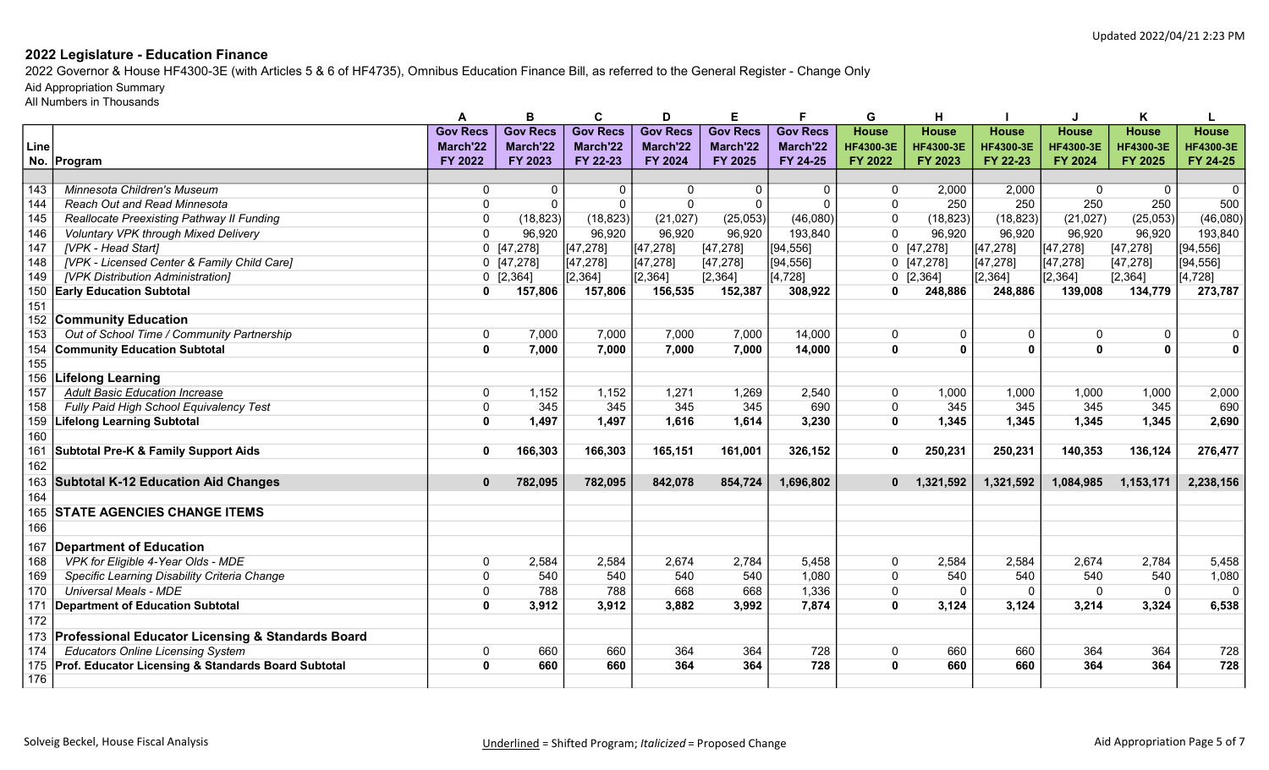2022 Governor & House HF4300-3E (with Articles 5 & 6 of HF4735), Omnibus Education Finance Bill, as referred to the General Register - Change Only

Aid Appropriation Summary

|      |                                                         |                 | в               | C               | D               | Е               | F               | G                | н            |                  | J                | Κ            |              |
|------|---------------------------------------------------------|-----------------|-----------------|-----------------|-----------------|-----------------|-----------------|------------------|--------------|------------------|------------------|--------------|--------------|
|      |                                                         | <b>Gov Recs</b> | <b>Gov Recs</b> | <b>Gov Recs</b> | <b>Gov Recs</b> | <b>Gov Recs</b> | <b>Gov Recs</b> | <b>House</b>     | <b>House</b> | <b>House</b>     | <b>House</b>     | <b>House</b> | <b>House</b> |
| Line |                                                         | March'22        | March'22        | March'22        | March'22        | March'22        | March'22        | <b>HF4300-3E</b> | HF4300-3E    | <b>HF4300-3E</b> | <b>HF4300-3E</b> | HF4300-3E    | HF4300-3E    |
|      | No. Program                                             | FY 2022         | FY 2023         | FY 22-23        | FY 2024         | FY 2025         | FY 24-25        | FY 2022          | FY 2023      | FY 22-23         | FY 2024          | FY 2025      | FY 24-25     |
|      |                                                         |                 |                 |                 |                 |                 |                 |                  |              |                  |                  |              |              |
| 143  | Minnesota Children's Museum                             | $\mathbf 0$     | 0               | $\Omega$        | $\mathbf{0}$    | $\mathbf 0$     | $\Omega$        | $\mathbf{0}$     | 2,000        | 2,000            | $\Omega$         | $\Omega$     | $\mathbf{0}$ |
| 144  | Reach Out and Read Minnesota                            | $\mathbf{0}$    | $\Omega$        | $\Omega$        | $\Omega$        | $\overline{0}$  | $\Omega$        | $\mathbf{0}$     | 250          | 250              | 250              | 250          | 500          |
| 145  | Reallocate Preexisting Pathway II Funding               | $\Omega$        | (18, 823)       | (18, 823)       | (21, 027)       | (25, 053)       | (46,080)        | $\mathbf{0}$     | (18, 823)    | (18, 823)        | (21, 027)        | (25, 053)    | (46,080)     |
| 146  | Voluntary VPK through Mixed Delivery                    | $\Omega$        | 96,920          | 96,920          | 96,920          | 96,920          | 193,840         | $\Omega$         | 96,920       | 96,920           | 96,920           | 96,920       | 193,840      |
| 147  | [VPK - Head Start]                                      |                 | $0$ [47,278]    | [47, 278]       | [47, 278]       | [47, 278]       | [94, 556]       |                  | 0[47,278]    | [47, 278]        | [47,278]         | [47, 278]    | [94, 556]    |
| 148  | [VPK - Licensed Center & Family Child Care]             |                 | $0$ [47,278]    | [47, 278]       | [47, 278]       | [47, 278]       | [94, 556]       |                  | 0[47,278]    | [47, 278]        | [47,278]         | [47, 278]    | [94, 556]    |
| 149  | [VPK Distribution Administration]                       |                 | $0$ [2,364]     | [2, 364]        | [2,364]         | [2, 364]        | [4, 728]        |                  | $0$ [2,364]  | [2, 364]         | [2, 364]         | [2, 364]     | $[4,728]$    |
| 150  | <b>Early Education Subtotal</b>                         | $\mathbf{0}$    | 157,806         | 157,806         | 156,535         | 152,387         | 308,922         | $\mathbf{0}$     | 248,886      | 248,886          | 139,008          | 134,779      | 273,787      |
| 151  |                                                         |                 |                 |                 |                 |                 |                 |                  |              |                  |                  |              |              |
| 152  | <b>Community Education</b>                              |                 |                 |                 |                 |                 |                 |                  |              |                  |                  |              |              |
| 153  | Out of School Time / Community Partnership              | $\Omega$        | 7,000           | 7,000           | 7,000           | 7,000           | 14,000          | $\mathbf{0}$     | $\Omega$     | $\Omega$         | $\mathbf{0}$     | $\mathbf{0}$ | $\mathbf{0}$ |
| 154  | <b>Community Education Subtotal</b>                     | $\mathbf{0}$    | 7,000           | 7,000           | 7,000           | 7,000           | 14,000          | $\mathbf{0}$     | $\Omega$     | $\Omega$         | $\mathbf{0}$     | $\mathbf{0}$ | $\mathbf{0}$ |
| 155  |                                                         |                 |                 |                 |                 |                 |                 |                  |              |                  |                  |              |              |
| 156  | <b>Lifelong Learning</b>                                |                 |                 |                 |                 |                 |                 |                  |              |                  |                  |              |              |
| 157  | <b>Adult Basic Education Increase</b>                   | $\Omega$        | 1,152           | 1,152           | 1,271           | 1,269           | 2,540           | $\mathbf{0}$     | 1,000        | 1,000            | 1,000            | 1,000        | 2,000        |
| 158  | Fully Paid High School Equivalency Test                 | $\mathbf{0}$    | 345             | 345             | 345             | 345             | 690             | $\mathbf{0}$     | 345          | 345              | 345              | 345          | 690          |
| 159  | <b>Lifelong Learning Subtotal</b>                       | $\mathbf{0}$    | 1,497           | 1,497           | 1,616           | 1,614           | 3,230           | $\mathbf{0}$     | 1,345        | 1,345            | 1,345            | 1,345        | 2,690        |
| 160  |                                                         |                 |                 |                 |                 |                 |                 |                  |              |                  |                  |              |              |
| 161  | <b>Subtotal Pre-K &amp; Family Support Aids</b>         | $\mathbf{0}$    | 166,303         | 166,303         | 165,151         | 161,001         | 326,152         | $\mathbf{0}$     | 250,231      | 250,231          | 140,353          | 136,124      | 276,477      |
| 162  |                                                         |                 |                 |                 |                 |                 |                 |                  |              |                  |                  |              |              |
| 163  | <b>Subtotal K-12 Education Aid Changes</b>              | $\mathbf{0}$    | 782,095         | 782,095         | 842,078         | 854,724         | 1,696,802       | $\mathbf{0}$     | 1,321,592    | 1,321,592        | 1,084,985        | 1,153,171    | 2,238,156    |
| 164  |                                                         |                 |                 |                 |                 |                 |                 |                  |              |                  |                  |              |              |
| 165  | <b>STATE AGENCIES CHANGE ITEMS</b>                      |                 |                 |                 |                 |                 |                 |                  |              |                  |                  |              |              |
| 166  |                                                         |                 |                 |                 |                 |                 |                 |                  |              |                  |                  |              |              |
| 167  | Department of Education                                 |                 |                 |                 |                 |                 |                 |                  |              |                  |                  |              |              |
| 168  | VPK for Eligible 4-Year Olds - MDE                      | $\Omega$        | 2,584           | 2,584           | 2,674           | 2,784           | 5,458           | $\mathbf{0}$     | 2,584        | 2,584            | 2,674            | 2,784        | 5,458        |
| 169  | Specific Learning Disability Criteria Change            | 0               | 540             | 540             | 540             | 540             | 1,080           | $\mathbf{0}$     | 540          | 540              | 540              | 540          | 1,080        |
| 170  | <b>Universal Meals - MDE</b>                            | 0               | 788             | 788             | 668             | 668             | 1,336           | $\mathbf{0}$     | $\Omega$     | $\Omega$         | $\Omega$         | $\Omega$     | $\Omega$     |
| 171  | Department of Education Subtotal                        | $\mathbf{0}$    | 3,912           | 3,912           | 3,882           | 3,992           | 7,874           | $\mathbf{0}$     | 3,124        | 3,124            | 3,214            | 3,324        | 6,538        |
| 172  |                                                         |                 |                 |                 |                 |                 |                 |                  |              |                  |                  |              |              |
|      | 173 Professional Educator Licensing & Standards Board   |                 |                 |                 |                 |                 |                 |                  |              |                  |                  |              |              |
| 174  | <b>Educators Online Licensing System</b>                | 0               | 660             | 660             | 364             | 364             | 728             | $\mathbf{0}$     | 660          | 660              | 364              | 364          | 728          |
|      | 175 Prof. Educator Licensing & Standards Board Subtotal | $\bf{0}$        | 660             | 660             | 364             | 364             | 728             | $\mathbf{0}$     | 660          | 660              | 364              | 364          | 728          |
| 176  |                                                         |                 |                 |                 |                 |                 |                 |                  |              |                  |                  |              |              |
|      |                                                         |                 |                 |                 |                 |                 |                 |                  |              |                  |                  |              |              |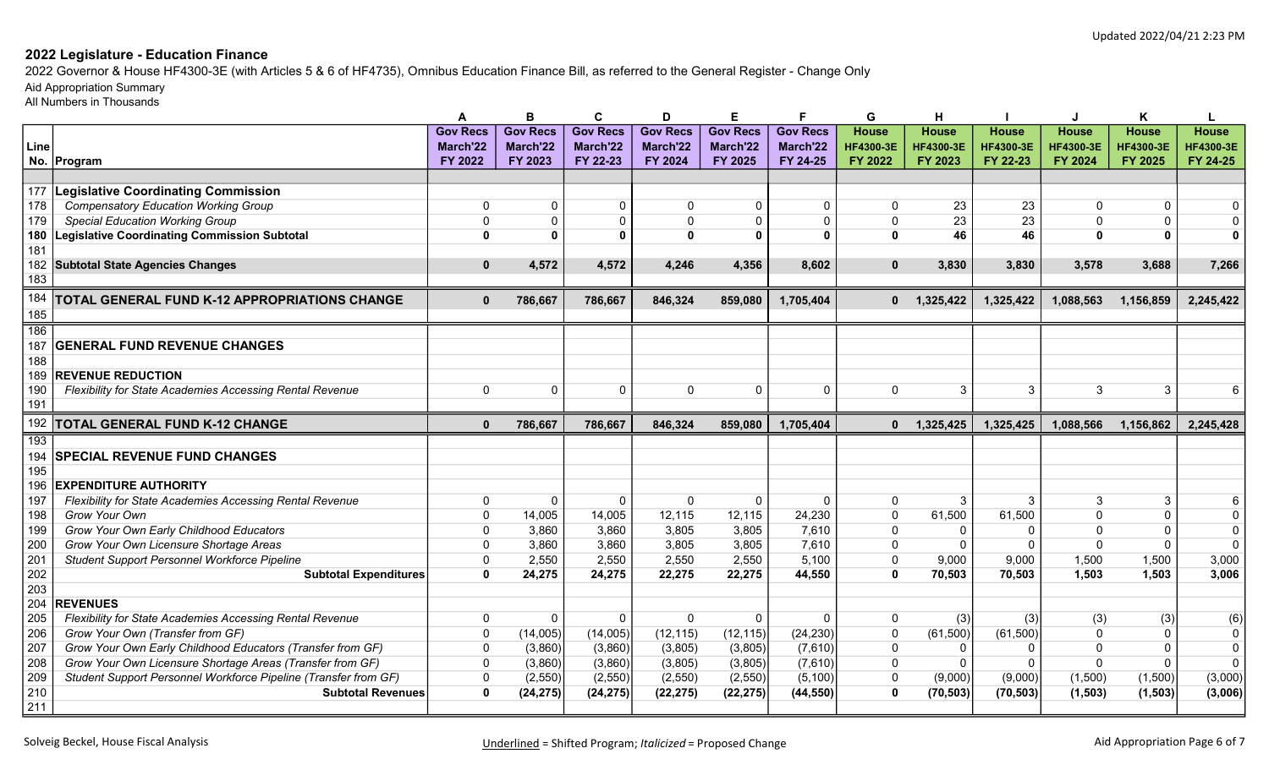2022 Governor & House HF4300-3E (with Articles 5 & 6 of HF4735), Omnibus Education Finance Bill, as referred to the General Register - Change Only

Aid Appropriation Summary

|            |                                                                 |                 | в               | C               | D               | Е               |                 | G                | н            |                  |                  | ĸ            |                  |
|------------|-----------------------------------------------------------------|-----------------|-----------------|-----------------|-----------------|-----------------|-----------------|------------------|--------------|------------------|------------------|--------------|------------------|
|            |                                                                 | <b>Gov Recs</b> | <b>Gov Recs</b> | <b>Gov Recs</b> | <b>Gov Recs</b> | <b>Gov Recs</b> | <b>Gov Recs</b> | <b>House</b>     | <b>House</b> | <b>House</b>     | <b>House</b>     | <b>House</b> | <b>House</b>     |
| Line       |                                                                 | March'22        | March'22        | March'22        | March'22        | March'22        | March'22        | <b>HF4300-3E</b> | HF4300-3E    | <b>HF4300-3E</b> | <b>HF4300-3E</b> | HF4300-3E    | <b>HF4300-3E</b> |
|            | No. Program                                                     | FY 2022         | FY 2023         | FY 22-23        | FY 2024         | FY 2025         | FY 24-25        | FY 2022          | FY 2023      | FY 22-23         | FY 2024          | FY 2025      | FY 24-25         |
|            |                                                                 |                 |                 |                 |                 |                 |                 |                  |              |                  |                  |              |                  |
|            | 177 Legislative Coordinating Commission                         |                 |                 |                 |                 |                 |                 |                  |              |                  |                  |              |                  |
| 178        | <b>Compensatory Education Working Group</b>                     | $\Omega$        | 0               | $\Omega$        | $\Omega$        | $\mathbf 0$     | $\Omega$        | $\Omega$         | 23           | 23               |                  | $\Omega$     | $\Omega$         |
| 179        | <b>Special Education Working Group</b>                          | $\Omega$        | $\Omega$        | $\Omega$        | $\Omega$        | $\Omega$        | $\Omega$        | $\Omega$         | 23           | 23               | $\Omega$         | 0            | $\Omega$         |
| 180        | Legislative Coordinating Commission Subtotal                    | $\Omega$        | $\mathbf 0$     | $\Omega$        | $\Omega$        | $\Omega$        | $\Omega$        | $\Omega$         | 46           | 46               | $\Omega$         | $\Omega$     | $\mathbf{0}$     |
| 181        |                                                                 |                 |                 |                 |                 |                 |                 |                  |              |                  |                  |              |                  |
|            | 182 Subtotal State Agencies Changes                             | $\mathbf{0}$    | 4,572           | 4,572           | 4,246           | 4,356           | 8,602           | $\mathbf{0}$     | 3,830        | 3,830            | 3,578            | 3,688        | 7,266            |
| 183        |                                                                 |                 |                 |                 |                 |                 |                 |                  |              |                  |                  |              |                  |
| 184        | <b>TOTAL GENERAL FUND K-12 APPROPRIATIONS CHANGE</b>            | $\mathbf{0}$    | 786,667         | 786,667         | 846,324         | 859,080         | 1,705,404       | $\mathbf 0$      | 1,325,422    | 1,325,422        | 1,088,563        | 1,156,859    | 2,245,422        |
| 185        |                                                                 |                 |                 |                 |                 |                 |                 |                  |              |                  |                  |              |                  |
| 186        |                                                                 |                 |                 |                 |                 |                 |                 |                  |              |                  |                  |              |                  |
| 187        | <b>GENERAL FUND REVENUE CHANGES</b>                             |                 |                 |                 |                 |                 |                 |                  |              |                  |                  |              |                  |
| 188        |                                                                 |                 |                 |                 |                 |                 |                 |                  |              |                  |                  |              |                  |
| 189        | <b>REVENUE REDUCTION</b>                                        |                 |                 |                 |                 |                 |                 |                  |              |                  |                  |              |                  |
| 190        | Flexibility for State Academies Accessing Rental Revenue        | $\mathbf{0}$    | $\mathbf{0}$    | $\Omega$        | $\mathbf{0}$    | $\Omega$        | $\Omega$        | $\mathbf{0}$     | 3            | 3                | 3                | 3            | 6                |
| 191        |                                                                 |                 |                 |                 |                 |                 |                 |                  |              |                  |                  |              |                  |
|            |                                                                 |                 |                 |                 |                 |                 |                 |                  |              |                  |                  |              |                  |
|            |                                                                 | $\mathbf{0}$    |                 | 786,667         |                 |                 |                 | $\mathbf{0}$     |              |                  | 1,088,566        |              | 2,245,428        |
|            | 192 TOTAL GENERAL FUND K-12 CHANGE                              |                 | 786,667         |                 | 846,324         | 859,080         | 1,705,404       |                  | 1,325,425    | 1,325,425        |                  | 1,156,862    |                  |
| 193        |                                                                 |                 |                 |                 |                 |                 |                 |                  |              |                  |                  |              |                  |
| 194        | <b>SPECIAL REVENUE FUND CHANGES</b>                             |                 |                 |                 |                 |                 |                 |                  |              |                  |                  |              |                  |
| 195<br>196 | <b>EXPENDITURE AUTHORITY</b>                                    |                 |                 |                 |                 |                 |                 |                  |              |                  |                  |              |                  |
| 197        | Flexibility for State Academies Accessing Rental Revenue        | 0               | $\Omega$        | $\Omega$        | $\mathbf{0}$    | $\mathbf 0$     | $\Omega$        | $\mathbf 0$      | 3            | 3                | 3                | 3            |                  |
| 198        | Grow Your Own                                                   | $\Omega$        | 14,005          | 14,005          | 12,115          | 12,115          | 24,230          | $\mathbf 0$      | 61,500       | 61,500           | $\Omega$         | $\mathbf 0$  | $\overline{0}$   |
| 199        | Grow Your Own Early Childhood Educators                         | $\Omega$        | 3,860           | 3,860           | 3,805           | 3,805           | 7,610           | $\mathbf 0$      | $\Omega$     | $\Omega$         | $\Omega$         | $\Omega$     | $\overline{0}$   |
| 200        | Grow Your Own Licensure Shortage Areas                          | $\Omega$        | 3,860           | 3,860           | 3,805           | 3,805           | 7,610           | $\Omega$         | $\Omega$     | $\Omega$         | $\Omega$         | $\Omega$     | $\Omega$         |
| 201        | Student Support Personnel Workforce Pipeline                    | $\Omega$        | 2,550           | 2,550           | 2,550           | 2,550           | 5,100           | $\Omega$         | 9,000        | 9,000            | 1,500            | 1,500        | 3,000            |
| 202        | <b>Subtotal Expenditures</b>                                    | $\mathbf{0}$    | 24,275          | 24,275          | 22,275          | 22,275          | 44,550          | $\mathbf{0}$     | 70,503       | 70,503           | 1,503            | 1,503        | 3,006            |
| 203        |                                                                 |                 |                 |                 |                 |                 |                 |                  |              |                  |                  |              |                  |
|            | 204 REVENUES                                                    |                 |                 |                 |                 |                 |                 |                  |              |                  |                  |              |                  |
| 205        | Flexibility for State Academies Accessing Rental Revenue        | $\mathbf{0}$    | $\mathbf{0}$    | $\mathbf{0}$    | $\Omega$        | $\Omega$        | $\Omega$        | 0                | (3)          | (3)              | (3)              | (3)          | (6)              |
| 206        | Grow Your Own (Transfer from GF)                                | $\mathbf{0}$    | (14,005)        | (14,005)        | (12, 115)       | (12, 115)       | (24, 230)       | $\mathbf{0}$     | (61, 500)    | (61, 500)        | $\Omega$         | $\Omega$     | 0                |
| 207        | Grow Your Own Early Childhood Educators (Transfer from GF)      | $\Omega$        | (3,860)         | (3,860)         | (3,805)         | (3,805)         | (7,610)         | $\Omega$         | $\Omega$     | $\Omega$         | $\Omega$         | $\Omega$     | $\mathbf 0$      |
| 208        | Grow Your Own Licensure Shortage Areas (Transfer from GF)       | $\Omega$        | (3,860)         | (3,860)         | (3,805)         | (3,805)         | (7,610)         | $\mathbf{0}$     | $\Omega$     | $\Omega$         | $\Omega$         | $\Omega$     | $\Omega$         |
| 209        | Student Support Personnel Workforce Pipeline (Transfer from GF) | $\Omega$        | (2, 550)        | (2,550)         | (2,550)         | (2,550)         | (5, 100)        | $\mathbf 0$      | (9,000)      | (9,000)          | (1,500)          | (1,500)      | (3,000)          |
| 210<br>211 | <b>Subtotal Revenues</b>                                        | $\bf{0}$        | (24, 275)       | (24, 275)       | (22, 275)       | (22, 275)       | (44, 550)       | $\mathbf{0}$     | (70, 503)    | (70, 503)        | (1, 503)         | (1, 503)     | (3,006)          |